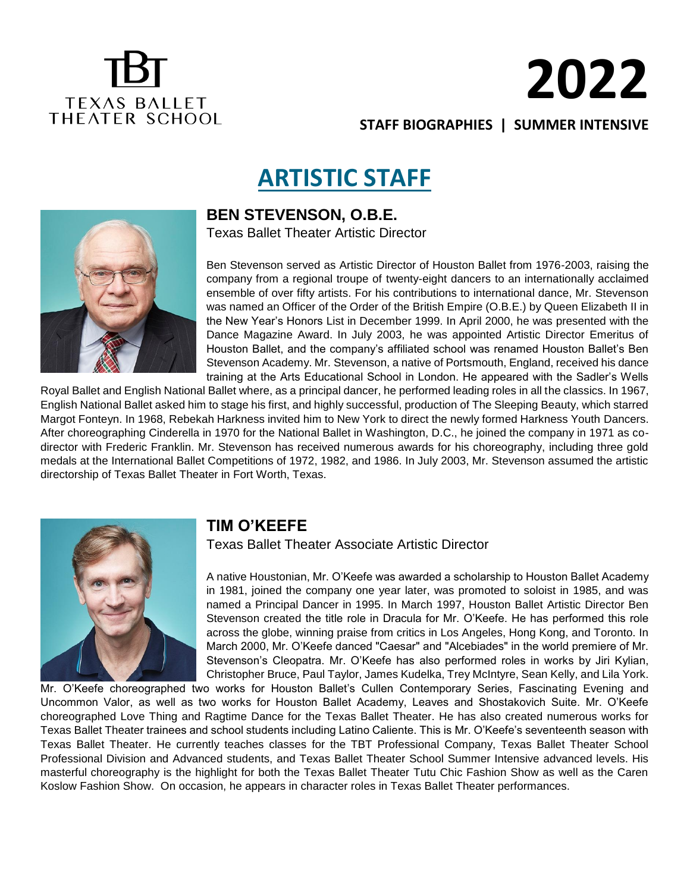## **TEXAS BALLET** THEATER SCHOOL

# **2022**

**STAFF BIOGRAPHIES | SUMMER INTENSIVE** 

## **ARTISTIC STAFF**



#### **BEN STEVENSON, O.B.E.**

Texas Ballet Theater Artistic Director

Ben Stevenson served as Artistic Director of Houston Ballet from 1976-2003, raising the company from a regional troupe of twenty-eight dancers to an internationally acclaimed ensemble of over fifty artists. For his contributions to international dance, Mr. Stevenson was named an Officer of the Order of the British Empire (O.B.E.) by Queen Elizabeth II in the New Year's Honors List in December 1999. In April 2000, he was presented with the Dance Magazine Award. In July 2003, he was appointed Artistic Director Emeritus of Houston Ballet, and the company's affiliated school was renamed Houston Ballet's Ben Stevenson Academy. Mr. Stevenson, a native of Portsmouth, England, received his dance training at the Arts Educational School in London. He appeared with the Sadler's Wells

Royal Ballet and English National Ballet where, as a principal dancer, he performed leading roles in all the classics. In 1967, English National Ballet asked him to stage his first, and highly successful, production of The Sleeping Beauty, which starred Margot Fonteyn. In 1968, Rebekah Harkness invited him to New York to direct the newly formed Harkness Youth Dancers. After choreographing Cinderella in 1970 for the National Ballet in Washington, D.C., he joined the company in 1971 as codirector with Frederic Franklin. Mr. Stevenson has received numerous awards for his choreography, including three gold medals at the International Ballet Competitions of 1972, 1982, and 1986. In July 2003, Mr. Stevenson assumed the artistic directorship of Texas Ballet Theater in Fort Worth, Texas.



#### **TIM O'KEEFE**

Texas Ballet Theater Associate Artistic Director

A native Houstonian, Mr. O'Keefe was awarded a scholarship to Houston Ballet Academy in 1981, joined the company one year later, was promoted to soloist in 1985, and was named a Principal Dancer in 1995. In March 1997, Houston Ballet Artistic Director Ben Stevenson created the title role in Dracula for Mr. O'Keefe. He has performed this role across the globe, winning praise from critics in Los Angeles, Hong Kong, and Toronto. In March 2000, Mr. O'Keefe danced "Caesar" and "Alcebiades" in the world premiere of Mr. Stevenson's Cleopatra. Mr. O'Keefe has also performed roles in works by Jiri Kylian, Christopher Bruce, Paul Taylor, James Kudelka, Trey McIntyre, Sean Kelly, and Lila York.

Mr. O'Keefe choreographed two works for Houston Ballet's Cullen Contemporary Series, Fascinating Evening and Uncommon Valor, as well as two works for Houston Ballet Academy, Leaves and Shostakovich Suite. Mr. O'Keefe choreographed Love Thing and Ragtime Dance for the Texas Ballet Theater. He has also created numerous works for Texas Ballet Theater trainees and school students including Latino Caliente. This is Mr. O'Keefe's seventeenth season with Texas Ballet Theater. He currently teaches classes for the TBT Professional Company, Texas Ballet Theater School Professional Division and Advanced students, and Texas Ballet Theater School Summer Intensive advanced levels. His masterful choreography is the highlight for both the Texas Ballet Theater Tutu Chic Fashion Show as well as the Caren Koslow Fashion Show. On occasion, he appears in character roles in Texas Ballet Theater performances.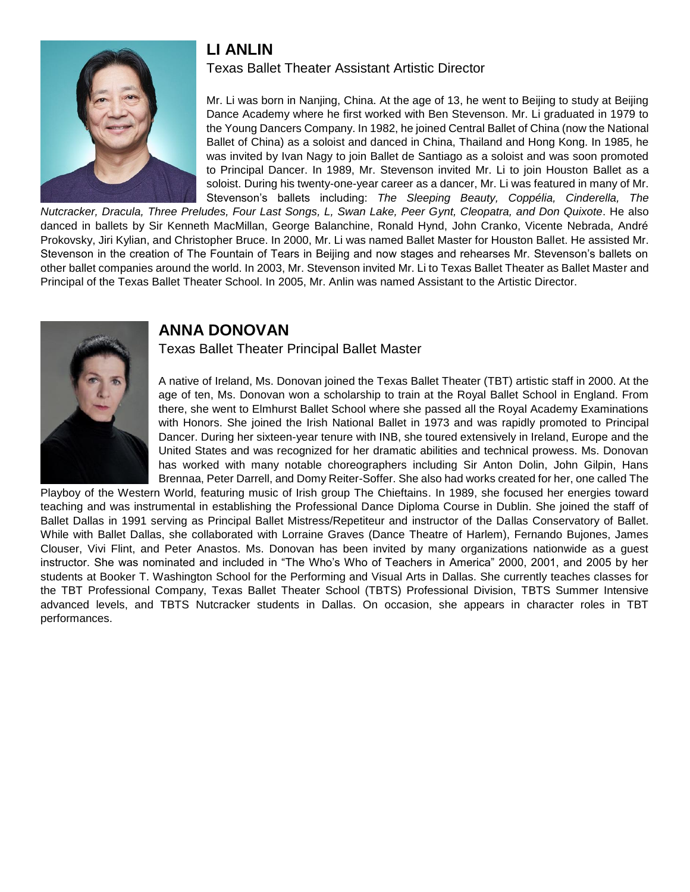#### **LI ANLIN**



#### Texas Ballet Theater Assistant Artistic Director

Mr. Li was born in Nanjing, China. At the age of 13, he went to Beijing to study at Beijing Dance Academy where he first worked with Ben Stevenson. Mr. Li graduated in 1979 to the Young Dancers Company. In 1982, he joined Central Ballet of China (now the National Ballet of China) as a soloist and danced in China, Thailand and Hong Kong. In 1985, he was invited by Ivan Nagy to join Ballet de Santiago as a soloist and was soon promoted to Principal Dancer. In 1989, Mr. Stevenson invited Mr. Li to join Houston Ballet as a soloist. During his twenty-one-year career as a dancer, Mr. Li was featured in many of Mr. Stevenson's ballets including: *The Sleeping Beauty, Coppélia, Cinderella, The* 

*Nutcracker, Dracula, Three Preludes, Four Last Songs, L, Swan Lake, Peer Gynt, Cleopatra, and Don Quixote*. He also danced in ballets by Sir Kenneth MacMillan, George Balanchine, Ronald Hynd, John Cranko, Vicente Nebrada, André Prokovsky, Jiri Kylian, and Christopher Bruce. In 2000, Mr. Li was named Ballet Master for Houston Ballet. He assisted Mr. Stevenson in the creation of The Fountain of Tears in Beijing and now stages and rehearses Mr. Stevenson's ballets on other ballet companies around the world. In 2003, Mr. Stevenson invited Mr. Li to Texas Ballet Theater as Ballet Master and Principal of the Texas Ballet Theater School. In 2005, Mr. Anlin was named Assistant to the Artistic Director.



#### **ANNA DONOVAN**

Texas Ballet Theater Principal Ballet Master

A native of Ireland, Ms. Donovan joined the Texas Ballet Theater (TBT) artistic staff in 2000. At the age of ten, Ms. Donovan won a scholarship to train at the Royal Ballet School in England. From there, she went to Elmhurst Ballet School where she passed all the Royal Academy Examinations with Honors. She joined the Irish National Ballet in 1973 and was rapidly promoted to Principal Dancer. During her sixteen-year tenure with INB, she toured extensively in Ireland, Europe and the United States and was recognized for her dramatic abilities and technical prowess. Ms. Donovan has worked with many notable choreographers including Sir Anton Dolin, John Gilpin, Hans Brennaa, Peter Darrell, and Domy Reiter-Soffer. She also had works created for her, one called The

Playboy of the Western World, featuring music of Irish group The Chieftains. In 1989, she focused her energies toward teaching and was instrumental in establishing the Professional Dance Diploma Course in Dublin. She joined the staff of Ballet Dallas in 1991 serving as Principal Ballet Mistress/Repetiteur and instructor of the Dallas Conservatory of Ballet. While with Ballet Dallas, she collaborated with Lorraine Graves (Dance Theatre of Harlem), Fernando Bujones, James Clouser, Vivi Flint, and Peter Anastos. Ms. Donovan has been invited by many organizations nationwide as a guest instructor. She was nominated and included in "The Who's Who of Teachers in America" 2000, 2001, and 2005 by her students at Booker T. Washington School for the Performing and Visual Arts in Dallas. She currently teaches classes for the TBT Professional Company, Texas Ballet Theater School (TBTS) Professional Division, TBTS Summer Intensive advanced levels, and TBTS Nutcracker students in Dallas. On occasion, she appears in character roles in TBT performances.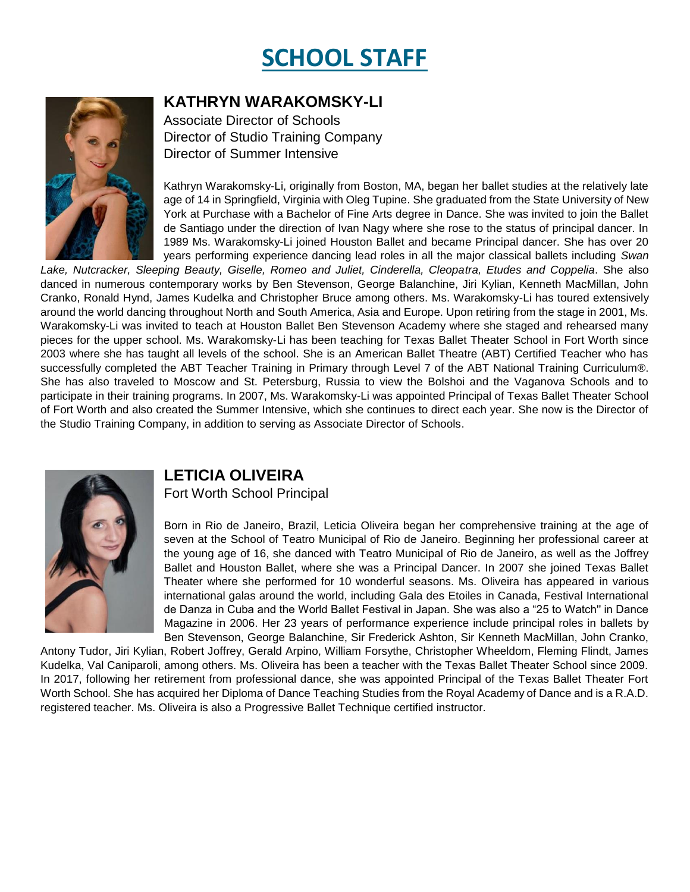## **SCHOOL STAFF**

#### **KATHRYN WARAKOMSKY-LI**

Associate Director of Schools Director of Studio Training Company Director of Summer Intensive

Kathryn Warakomsky-Li, originally from Boston, MA, began her ballet studies at the relatively late age of 14 in Springfield, Virginia with Oleg Tupine. She graduated from the State University of New York at Purchase with a Bachelor of Fine Arts degree in Dance. She was invited to join the Ballet de Santiago under the direction of Ivan Nagy where she rose to the status of principal dancer. In 1989 Ms. Warakomsky-Li joined Houston Ballet and became Principal dancer. She has over 20 years performing experience dancing lead roles in all the major classical ballets including *Swan* 

*Lake, Nutcracker, Sleeping Beauty, Giselle, Romeo and Juliet, Cinderella, Cleopatra, Etudes and Coppelia*. She also danced in numerous contemporary works by Ben Stevenson, George Balanchine, Jiri Kylian, Kenneth MacMillan, John Cranko, Ronald Hynd, James Kudelka and Christopher Bruce among others. Ms. Warakomsky-Li has toured extensively around the world dancing throughout North and South America, Asia and Europe. Upon retiring from the stage in 2001, Ms. Warakomsky-Li was invited to teach at Houston Ballet Ben Stevenson Academy where she staged and rehearsed many pieces for the upper school. Ms. Warakomsky-Li has been teaching for Texas Ballet Theater School in Fort Worth since 2003 where she has taught all levels of the school. She is an American Ballet Theatre (ABT) Certified Teacher who has successfully completed the ABT Teacher Training in Primary through Level 7 of the ABT National Training Curriculum®. She has also traveled to Moscow and St. Petersburg, Russia to view the Bolshoi and the Vaganova Schools and to participate in their training programs. In 2007, Ms. Warakomsky-Li was appointed Principal of Texas Ballet Theater School of Fort Worth and also created the Summer Intensive, which she continues to direct each year. She now is the Director of the Studio Training Company, in addition to serving as Associate Director of Schools.



#### **LETICIA OLIVEIRA**

Fort Worth School Principal

Born in Rio de Janeiro, Brazil, Leticia Oliveira began her comprehensive training at the age of seven at the School of Teatro Municipal of Rio de Janeiro. Beginning her professional career at the young age of 16, she danced with Teatro Municipal of Rio de Janeiro, as well as the Joffrey Ballet and Houston Ballet, where she was a Principal Dancer. In 2007 she joined Texas Ballet Theater where she performed for 10 wonderful seasons. Ms. Oliveira has appeared in various international galas around the world, including Gala des Etoiles in Canada, Festival International de Danza in Cuba and the World Ballet Festival in Japan. She was also a "25 to Watch'' in Dance Magazine in 2006. Her 23 years of performance experience include principal roles in ballets by Ben Stevenson, George Balanchine, Sir Frederick Ashton, Sir Kenneth MacMillan, John Cranko,

Antony Tudor, Jiri Kylian, Robert Joffrey, Gerald Arpino, William Forsythe, Christopher Wheeldom, Fleming Flindt, James Kudelka, Val Caniparoli, among others. Ms. Oliveira has been a teacher with the Texas Ballet Theater School since 2009. In 2017, following her retirement from professional dance, she was appointed Principal of the Texas Ballet Theater Fort Worth School. She has acquired her Diploma of Dance Teaching Studies from the Royal Academy of Dance and is a R.A.D. registered teacher. Ms. Oliveira is also a Progressive Ballet Technique certified instructor.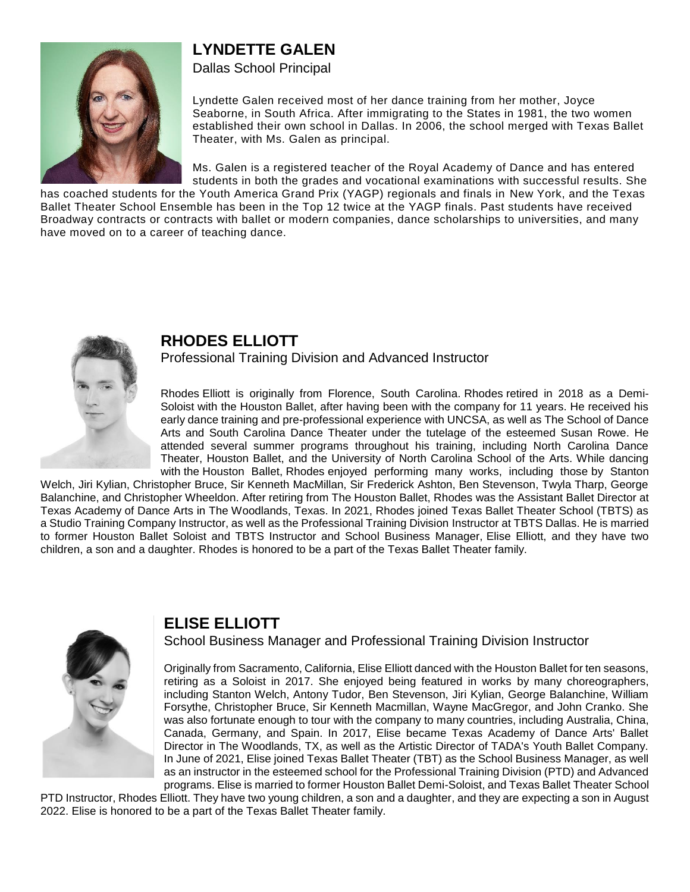#### **LYNDETTE GALEN**



Dallas School Principal

Lyndette Galen received most of her dance training from her mother, Joyce Seaborne, in South Africa. After immigrating to the States in 1981, the two women established their own school in Dallas. In 2006, the school merged with Texas Ballet Theater, with Ms. Galen as principal.

Ms. Galen is a registered teacher of the Royal Academy of Dance and has entered students in both the grades and vocational examinations with successful results. She

has coached students for the Youth America Grand Prix (YAGP) regionals and finals in New York, and the Texas Ballet Theater School Ensemble has been in the Top 12 twice at the YAGP finals. Past students have received Broadway contracts or contracts with ballet or modern companies, dance scholarships to universities, and many have moved on to a career of teaching dance.



#### **RHODES ELLIOTT**

Professional Training Division and Advanced Instructor

Rhodes Elliott is originally from Florence, South Carolina. Rhodes retired in 2018 as a Demi-Soloist with the Houston Ballet, after having been with the company for 11 years. He received his early dance training and pre-professional experience with UNCSA, as well as The School of Dance Arts and South Carolina Dance Theater under the tutelage of the esteemed Susan Rowe. He attended several summer programs throughout his training, including North Carolina Dance Theater, Houston Ballet, and the University of North Carolina School of the Arts. While dancing with the Houston Ballet, Rhodes enjoyed performing many works, including those by Stanton

Welch, Jiri Kylian, Christopher Bruce, Sir Kenneth MacMillan, Sir Frederick Ashton, Ben Stevenson, Twyla Tharp, George Balanchine, and Christopher Wheeldon. After retiring from The Houston Ballet, Rhodes was the Assistant Ballet Director at Texas Academy of Dance Arts in The Woodlands, Texas. In 2021, Rhodes joined Texas Ballet Theater School (TBTS) as a Studio Training Company Instructor, as well as the Professional Training Division Instructor at TBTS Dallas. He is married to former Houston Ballet Soloist and TBTS Instructor and School Business Manager, Elise Elliott, and they have two children, a son and a daughter. Rhodes is honored to be a part of the Texas Ballet Theater family.



#### **ELISE ELLIOTT**

School Business Manager and Professional Training Division Instructor

Originally from Sacramento, California, Elise Elliott danced with the Houston Ballet for ten seasons, retiring as a Soloist in 2017. She enjoyed being featured in works by many choreographers, including Stanton Welch, Antony Tudor, Ben Stevenson, Jiri Kylian, George Balanchine, William Forsythe, Christopher Bruce, Sir Kenneth Macmillan, Wayne MacGregor, and John Cranko. She was also fortunate enough to tour with the company to many countries, including Australia, China, Canada, Germany, and Spain. In 2017, Elise became Texas Academy of Dance Arts' Ballet Director in The Woodlands, TX, as well as the Artistic Director of TADA's Youth Ballet Company. In June of 2021, Elise joined Texas Ballet Theater (TBT) as the School Business Manager, as well as an instructor in the esteemed school for the Professional Training Division (PTD) and Advanced programs. Elise is married to former Houston Ballet Demi-Soloist, and Texas Ballet Theater School

PTD Instructor, Rhodes Elliott. They have two young children, a son and a daughter, and they are expecting a son in August 2022. Elise is honored to be a part of the Texas Ballet Theater family.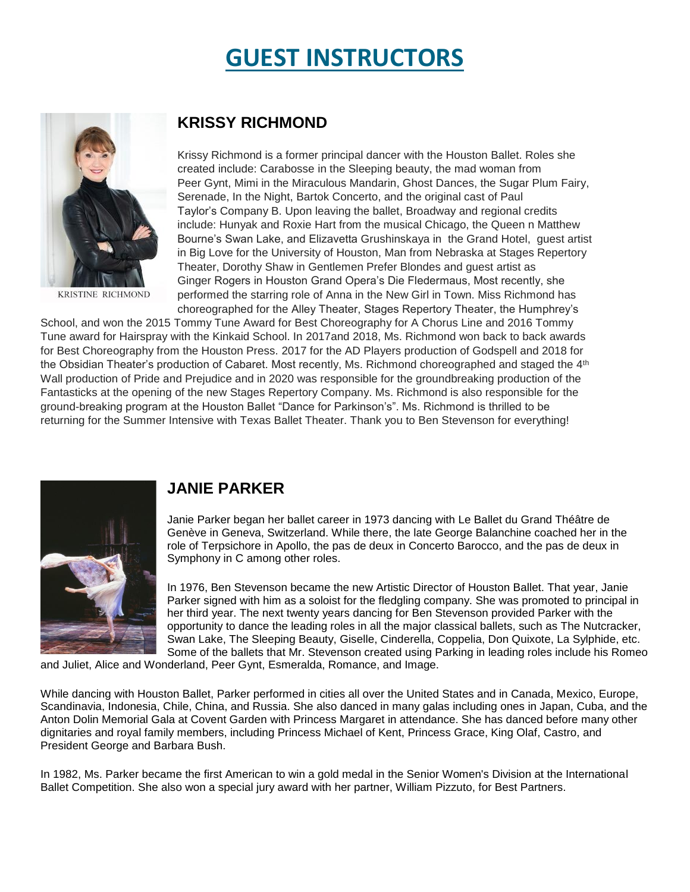### **GUEST INSTRUCTORS**



KRISTINE RICHMOND

#### **KRISSY RICHMOND**

Krissy Richmond is a former principal dancer with the Houston Ballet. Roles she created include: Carabosse in the Sleeping beauty, the mad woman from Peer Gynt, Mimi in the Miraculous Mandarin, Ghost Dances, the Sugar Plum Fairy, Serenade, In the Night, Bartok Concerto, and the original cast of Paul Taylor's Company B. Upon leaving the ballet, Broadway and regional credits include: Hunyak and Roxie Hart from the musical Chicago, the Queen n Matthew Bourne's Swan Lake, and Elizavetta Grushinskaya in the Grand Hotel, guest artist in Big Love for the University of Houston, Man from Nebraska at Stages Repertory Theater, Dorothy Shaw in Gentlemen Prefer Blondes and guest artist as Ginger Rogers in Houston Grand Opera's Die Fledermaus, Most recently, she performed the starring role of Anna in the New Girl in Town. Miss Richmond has choreographed for the Alley Theater, Stages Repertory Theater, the Humphrey's

School, and won the 2015 Tommy Tune Award for Best Choreography for A Chorus Line and 2016 Tommy Tune award for Hairspray with the Kinkaid School. In 2017and 2018, Ms. Richmond won back to back awards for Best Choreography from the Houston Press. 2017 for the AD Players production of Godspell and 2018 for the Obsidian Theater's production of Cabaret. Most recently, Ms. Richmond choreographed and staged the 4<sup>th</sup> Wall production of Pride and Prejudice and in 2020 was responsible for the groundbreaking production of the Fantasticks at the opening of the new Stages Repertory Company. Ms. Richmond is also responsible for the ground-breaking program at the Houston Ballet "Dance for Parkinson's". Ms. Richmond is thrilled to be returning for the Summer Intensive with Texas Ballet Theater. Thank you to Ben Stevenson for everything!



#### **JANIE PARKER**

Janie Parker began her ballet career in 1973 dancing with Le Ballet du Grand Théâtre de Genève in Geneva, Switzerland. While there, the late George Balanchine coached her in the role of Terpsichore in Apollo, the pas de deux in Concerto Barocco, and the pas de deux in Symphony in C among other roles.

In 1976, Ben Stevenson became the new Artistic Director of Houston Ballet. That year, Janie Parker signed with him as a soloist for the fledgling company. She was promoted to principal in her third year. The next twenty years dancing for Ben Stevenson provided Parker with the opportunity to dance the leading roles in all the major classical ballets, such as The Nutcracker, Swan Lake, The Sleeping Beauty, Giselle, Cinderella, Coppelia, Don Quixote, La Sylphide, etc. Some of the ballets that Mr. Stevenson created using Parking in leading roles include his Romeo

and Juliet, Alice and Wonderland, Peer Gynt, Esmeralda, Romance, and Image.

While dancing with Houston Ballet, Parker performed in cities all over the United States and in Canada, Mexico, Europe, Scandinavia, Indonesia, Chile, China, and Russia. She also danced in many galas including ones in Japan, Cuba, and the Anton Dolin Memorial Gala at Covent Garden with Princess Margaret in attendance. She has danced before many other dignitaries and royal family members, including Princess Michael of Kent, Princess Grace, King Olaf, Castro, and President George and Barbara Bush.

In 1982, Ms. Parker became the first American to win a gold medal in the Senior Women's Division at the International Ballet Competition. She also won a special jury award with her partner, William Pizzuto, for Best Partners.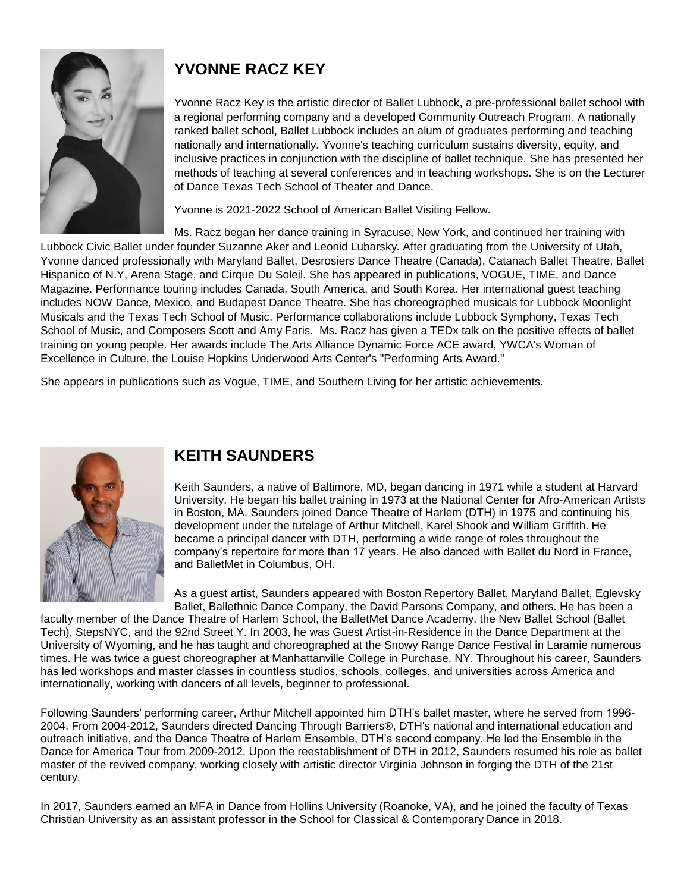

#### **YVONNE RACZ KEY**

Yvonne Racz Key is the artistic director of Ballet Lubbock, a pre-professional ballet school with a regional performing company and a developed Community Outreach Program. A nationally ranked ballet school, Ballet Lubbock includes an alum of graduates performing and teaching nationally and internationally. Yvonne's teaching curriculum sustains diversity, equity, and inclusive practices in conjunction with the discipline of ballet technique. She has presented her methods of teaching at several conferences and in teaching workshops. She is on the Lecturer of Dance Texas Tech School of Theater and Dance.

Yvonne is 2021-2022 School of American Ballet Visiting Fellow.

Ms. Racz began her dance training in Syracuse, New York, and continued her training with Lubbock Civic Ballet under founder Suzanne Aker and Leonid Lubarsky. After graduating from the University of Utah, Yvonne danced professionally with Maryland Ballet, Desrosiers Dance Theatre (Canada), Catanach Ballet Theatre, Ballet Hispanico of N.Y, Arena Stage, and Cirque Du Soleil. She has appeared in publications, VOGUE, TIME, and Dance Magazine. Performance touring includes Canada, South America, and South Korea. Her international guest teaching includes NOW Dance, Mexico, and Budapest Dance Theatre. She has choreographed musicals for Lubbock Moonlight Musicals and the Texas Tech School of Music. Performance collaborations include Lubbock Symphony, Texas Tech School of Music, and Composers Scott and Amy Faris. Ms. Racz has given a TEDx talk on the positive effects of ballet training on young people. Her awards include The Arts Alliance Dynamic Force ACE award, YWCA's Woman of Excellence in Culture, the Louise Hopkins Underwood Arts Center's "Performing Arts Award."

She appears in publications such as Vogue, TIME, and Southern Living for her artistic achievements.



#### **KEITH SAUNDERS**

Keith Saunders, a native of Baltimore, MD, began dancing in 1971 while a student at Harvard University. He began his ballet training in 1973 at the National Center for Afro-American Artists in Boston, MA. Saunders joined Dance Theatre of Harlem (DTH) in 1975 and continuing his development under the tutelage of Arthur Mitchell, Karel Shook and William Griffith. He became a principal dancer with DTH, performing a wide range of roles throughout the company's repertoire for more than 17 years. He also danced with Ballet du Nord in France, and BalletMet in Columbus, OH.

As a guest artist, Saunders appeared with Boston Repertory Ballet, Maryland Ballet, Eglevsky Ballet, Ballethnic Dance Company, the David Parsons Company, and others. He has been a

faculty member of the Dance Theatre of Harlem School, the BalletMet Dance Academy, the New Ballet School (Ballet Tech), StepsNYC, and the 92nd Street Y. In 2003, he was Guest Artist-in-Residence in the Dance Department at the University of Wyoming, and he has taught and choreographed at the Snowy Range Dance Festival in Laramie numerous times. He was twice a guest choreographer at Manhattanville College in Purchase, NY. Throughout his career, Saunders has led workshops and master classes in countless studios, schools, colleges, and universities across America and internationally, working with dancers of all levels, beginner to professional.

Following Saunders' performing career, Arthur Mitchell appointed him DTH's ballet master, where he served from 1996- 2004. From 2004-2012, Saunders directed Dancing Through Barriers®, DTH's national and international education and outreach initiative, and the Dance Theatre of Harlem Ensemble, DTH's second company. He led the Ensemble in the Dance for America Tour from 2009-2012. Upon the reestablishment of DTH in 2012, Saunders resumed his role as ballet master of the revived company, working closely with artistic director Virginia Johnson in forging the DTH of the 21st century.

In 2017, Saunders earned an MFA in Dance from Hollins University (Roanoke, VA), and he joined the faculty of Texas Christian University as an assistant professor in the School for Classical & Contemporary Dance in 2018.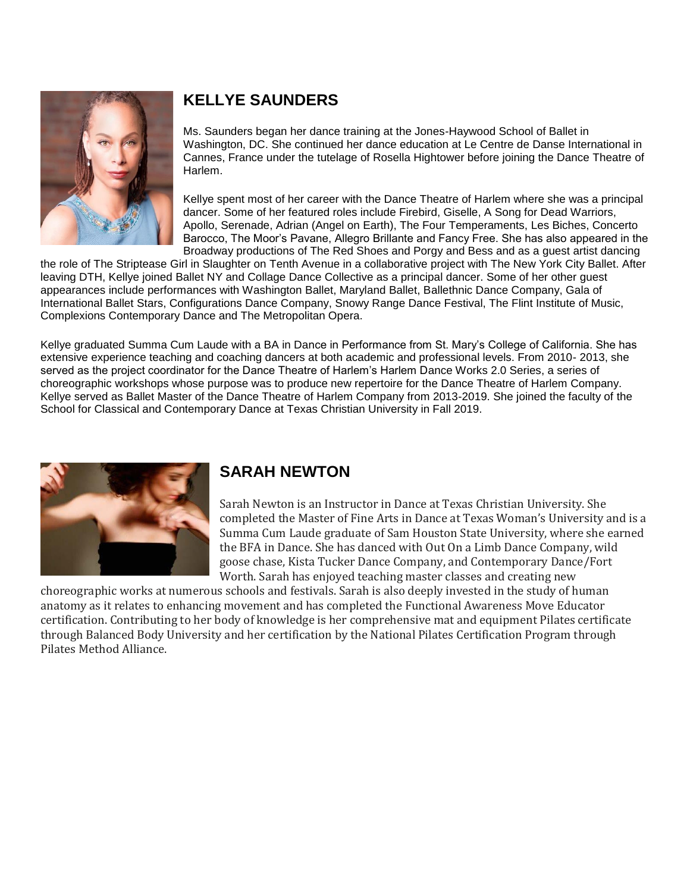

#### **KELLYE SAUNDERS**

Ms. Saunders began her dance training at the Jones-Haywood School of Ballet in Washington, DC. She continued her dance education at Le Centre de Danse International in Cannes, France under the tutelage of Rosella Hightower before joining the Dance Theatre of Harlem.

Kellye spent most of her career with the Dance Theatre of Harlem where she was a principal dancer. Some of her featured roles include Firebird, Giselle, A Song for Dead Warriors, Apollo, Serenade, Adrian (Angel on Earth), The Four Temperaments, Les Biches, Concerto Barocco, The Moor's Pavane, Allegro Brillante and Fancy Free. She has also appeared in the Broadway productions of The Red Shoes and Porgy and Bess and as a guest artist dancing

the role of The Striptease Girl in Slaughter on Tenth Avenue in a collaborative project with The New York City Ballet. After leaving DTH, Kellye joined Ballet NY and Collage Dance Collective as a principal dancer. Some of her other guest appearances include performances with Washington Ballet, Maryland Ballet, Ballethnic Dance Company, Gala of International Ballet Stars, Configurations Dance Company, Snowy Range Dance Festival, The Flint Institute of Music, Complexions Contemporary Dance and The Metropolitan Opera.

Kellye graduated Summa Cum Laude with a BA in Dance in Performance from St. Mary's College of California. She has extensive experience teaching and coaching dancers at both academic and professional levels. From 2010- 2013, she served as the project coordinator for the Dance Theatre of Harlem's Harlem Dance Works 2.0 Series, a series of choreographic workshops whose purpose was to produce new repertoire for the Dance Theatre of Harlem Company. Kellye served as Ballet Master of the Dance Theatre of Harlem Company from 2013-2019. She joined the faculty of the School for Classical and Contemporary Dance at Texas Christian University in Fall 2019.



#### **SARAH NEWTON**

Sarah Newton is an Instructor in Dance at Texas Christian University. She completed the Master of Fine Arts in Dance at Texas Woman's University and is a Summa Cum Laude graduate of Sam Houston State University, where she earned the BFA in Dance. She has danced with Out On a Limb Dance Company, wild goose chase, Kista Tucker Dance Company, and Contemporary Dance/Fort Worth. Sarah has enjoyed teaching master classes and creating new

choreographic works at numerous schools and festivals. Sarah is also deeply invested in the study of human anatomy as it relates to enhancing movement and has completed the Functional Awareness Move Educator certification. Contributing to her body of knowledge is her comprehensive mat and equipment Pilates certificate through Balanced Body University and her certification by the National Pilates Certification Program through Pilates Method Alliance.